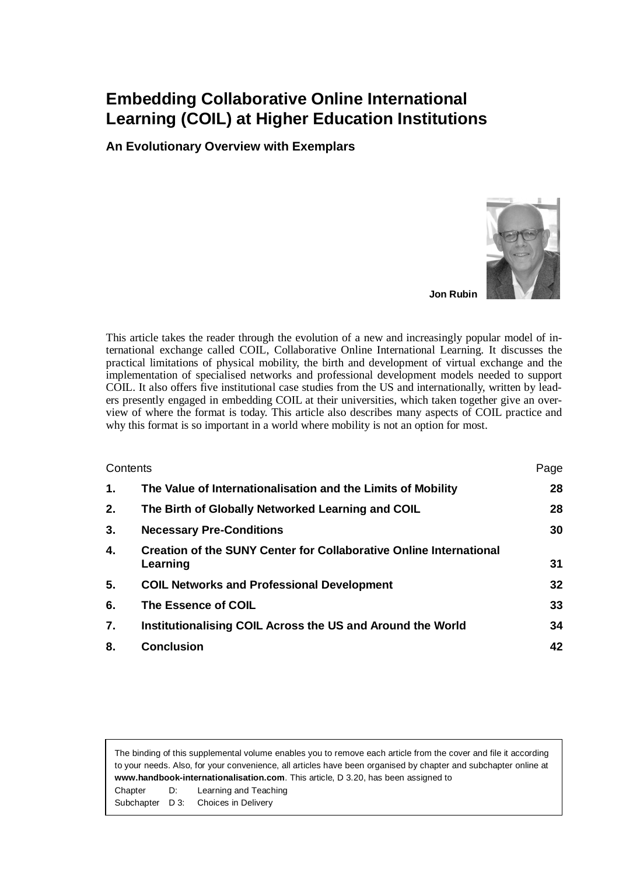# **Embedding Collaborative Online International Learning (COIL) at Higher Education Institutions**

**An Evolutionary Overview with Exemplars**



**Jon Rubin**

This article takes the reader through the evolution of a new and increasingly popular model of international exchange called COIL, Collaborative Online International Learning. It discusses the practical limitations of physical mobility, the birth and development of virtual exchange and the implementation of specialised networks and professional development models needed to support COIL. It also offers five institutional case studies from the US and internationally, written by leaders presently engaged in embedding COIL at their universities, which taken together give an overview of where the format is today. This article also describes many aspects of COIL practice and why this format is so important in a world where mobility is not an option for most.

| Contents |                                                                                       | Page |
|----------|---------------------------------------------------------------------------------------|------|
| 1.       | The Value of Internationalisation and the Limits of Mobility                          | 28   |
| 2.       | The Birth of Globally Networked Learning and COIL                                     | 28   |
| 3.       | <b>Necessary Pre-Conditions</b>                                                       | 30   |
| 4.       | <b>Creation of the SUNY Center for Collaborative Online International</b><br>Learning | 31   |
| 5.       | <b>COIL Networks and Professional Development</b>                                     | 32   |
| 6.       | The Essence of COIL                                                                   | 33   |
| 7.       | Institutionalising COIL Across the US and Around the World                            | 34   |
| 8.       | <b>Conclusion</b>                                                                     | 42   |

The binding of this supplemental volume enables you to remove each article from the cover and file it according to your needs. Also, for your convenience, all articles have been organised by chapter and subchapter online at **www.handbook-internationalisation.com**. This article, D 3.20, has been assigned to Chapter D: Learning and Teaching Subchapter D 3: Choices in Delivery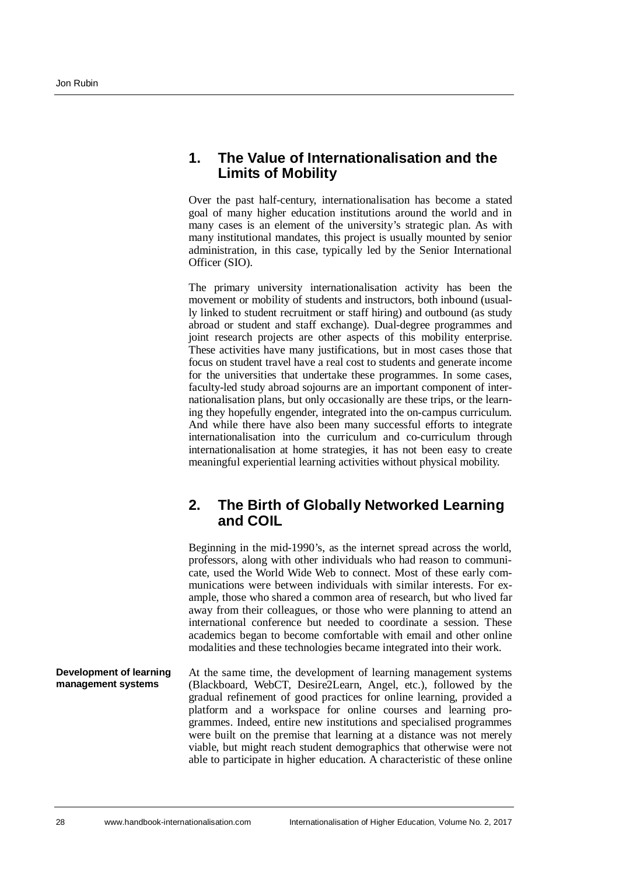### <span id="page-1-0"></span>**1. The Value of Internationalisation and the Limits of Mobility**

Over the past half-century, internationalisation has become a stated goal of many higher education institutions around the world and in many cases is an element of the university's strategic plan. As with many institutional mandates, this project is usually mounted by senior administration, in this case, typically led by the Senior International Officer (SIO).

The primary university internationalisation activity has been the movement or mobility of students and instructors, both inbound (usually linked to student recruitment or staff hiring) and outbound (as study abroad or student and staff exchange). Dual-degree programmes and joint research projects are other aspects of this mobility enterprise. These activities have many justifications, but in most cases those that focus on student travel have a real cost to students and generate income for the universities that undertake these programmes. In some cases, faculty-led study abroad sojourns are an important component of internationalisation plans, but only occasionally are these trips, or the learning they hopefully engender, integrated into the on-campus curriculum. And while there have also been many successful efforts to integrate internationalisation into the curriculum and co-curriculum through internationalisation at home strategies, it has not been easy to create meaningful experiential learning activities without physical mobility.

### <span id="page-1-1"></span>**2. The Birth of Globally Networked Learning and COIL**

Beginning in the mid-1990's, as the internet spread across the world, professors, along with other individuals who had reason to communicate, used the World Wide Web to connect. Most of these early communications were between individuals with similar interests. For example, those who shared a common area of research, but who lived far away from their colleagues, or those who were planning to attend an international conference but needed to coordinate a session. These academics began to become comfortable with email and other online modalities and these technologies became integrated into their work.

#### At the same time, the development of learning management systems (Blackboard, WebCT, Desire2Learn, Angel, etc.), followed by the gradual refinement of good practices for online learning, provided a platform and a workspace for online courses and learning programmes. Indeed, entire new institutions and specialised programmes were built on the premise that learning at a distance was not merely viable, but might reach student demographics that otherwise were not able to participate in higher education. A characteristic of these online **Development of learning management systems**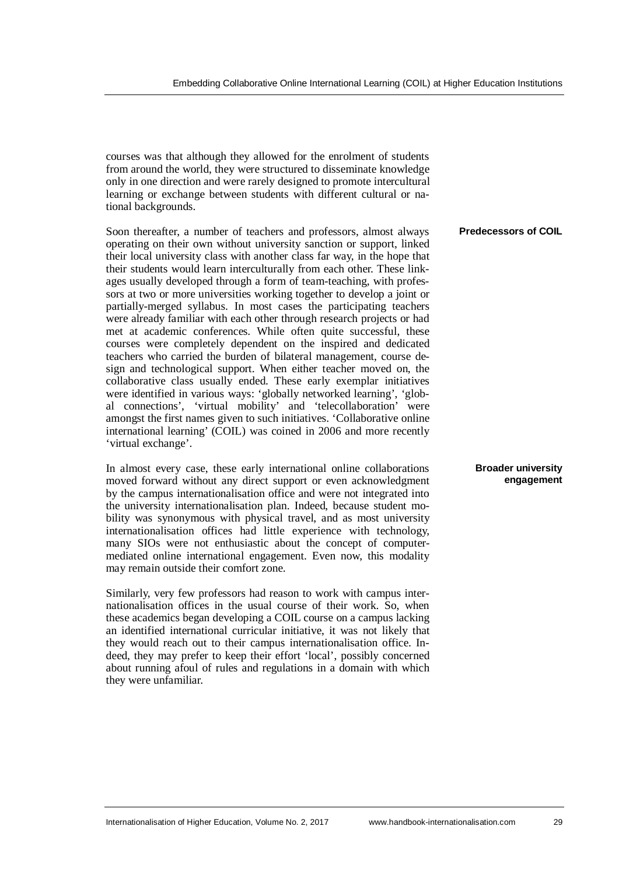courses was that although they allowed for the enrolment of students from around the world, they were structured to disseminate knowledge only in one direction and were rarely designed to promote intercultural learning or exchange between students with different cultural or national backgrounds.

Soon thereafter, a number of teachers and professors, almost always operating on their own without university sanction or support, linked their local university class with another class far way, in the hope that their students would learn interculturally from each other. These linkages usually developed through a form of team-teaching, with professors at two or more universities working together to develop a joint or partially-merged syllabus. In most cases the participating teachers were already familiar with each other through research projects or had met at academic conferences. While often quite successful, these courses were completely dependent on the inspired and dedicated teachers who carried the burden of bilateral management, course design and technological support. When either teacher moved on, the collaborative class usually ended. These early exemplar initiatives were identified in various ways: 'globally networked learning', 'global connections', 'virtual mobility' and 'telecollaboration' were amongst the first names given to such initiatives. 'Collaborative online international learning' (COIL) was coined in 2006 and more recently 'virtual exchange'.

In almost every case, these early international online collaborations moved forward without any direct support or even acknowledgment by the campus internationalisation office and were not integrated into the university internationalisation plan. Indeed, because student mobility was synonymous with physical travel, and as most university internationalisation offices had little experience with technology, many SIOs were not enthusiastic about the concept of computermediated online international engagement. Even now, this modality may remain outside their comfort zone.

Similarly, very few professors had reason to work with campus internationalisation offices in the usual course of their work. So, when these academics began developing a COIL course on a campus lacking an identified international curricular initiative, it was not likely that they would reach out to their campus internationalisation office. Indeed, they may prefer to keep their effort 'local', possibly concerned about running afoul of rules and regulations in a domain with which they were unfamiliar.

**Predecessors of COIL**

**Broader university engagement**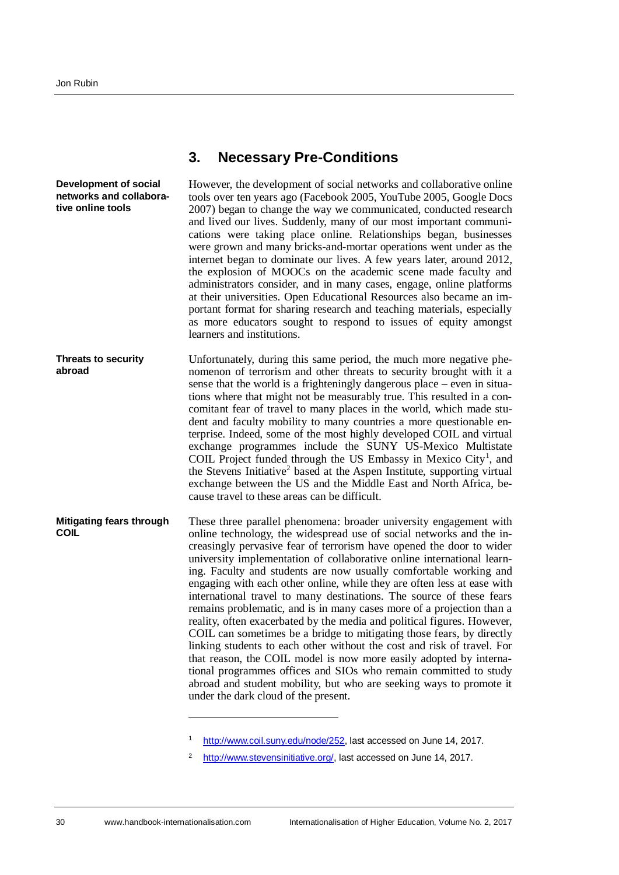### <span id="page-3-0"></span>**3. Necessary Pre-Conditions**

However, the development of social networks and collaborative online tools over ten years ago (Facebook 2005, YouTube 2005, Google Docs 2007) began to change the way we communicated, conducted research and lived our lives. Suddenly, many of our most important communications were taking place online. Relationships began, businesses were grown and many bricks-and-mortar operations went under as the internet began to dominate our lives. A few years later, around 2012, the explosion of MOOCs on the academic scene made faculty and administrators consider, and in many cases, engage, online platforms at their universities. Open Educational Resources also became an important format for sharing research and teaching materials, especially as more educators sought to respond to issues of equity amongst learners and institutions. **Development of social networks and collaborative online tools**

Unfortunately, during this same period, the much more negative phenomenon of terrorism and other threats to security brought with it a sense that the world is a frighteningly dangerous place – even in situations where that might not be measurably true. This resulted in a concomitant fear of travel to many places in the world, which made student and faculty mobility to many countries a more questionable enterprise. Indeed, some of the most highly developed COIL and virtual exchange programmes include the SUNY US-Mexico Multistate COIL Project funded through the US Embassy in Mexico City<sup>[1](#page-3-1)</sup>, and the Stevens Initiative<sup>[2](#page-3-2)</sup> based at the Aspen Institute, supporting virtual exchange between the US and the Middle East and North Africa, because travel to these areas can be difficult. **Threats to security abroad**

These three parallel phenomena: broader university engagement with online technology, the widespread use of social networks and the increasingly pervasive fear of terrorism have opened the door to wider university implementation of collaborative online international learning. Faculty and students are now usually comfortable working and engaging with each other online, while they are often less at ease with international travel to many destinations. The source of these fears remains problematic, and is in many cases more of a projection than a reality, often exacerbated by the media and political figures. However, COIL can sometimes be a bridge to mitigating those fears, by directly linking students to each other without the cost and risk of travel. For that reason, the COIL model is now more easily adopted by international programmes offices and SIOs who remain committed to study abroad and student mobility, but who are seeking ways to promote it under the dark cloud of the present. **Mitigating fears through COIL**

<span id="page-3-1"></span>http://www.coil.suny.edu/node/252, last accessed on June 14, 2017.

<span id="page-3-2"></span>http://www.stevensinitiative.org/, last accessed on June 14, 2017.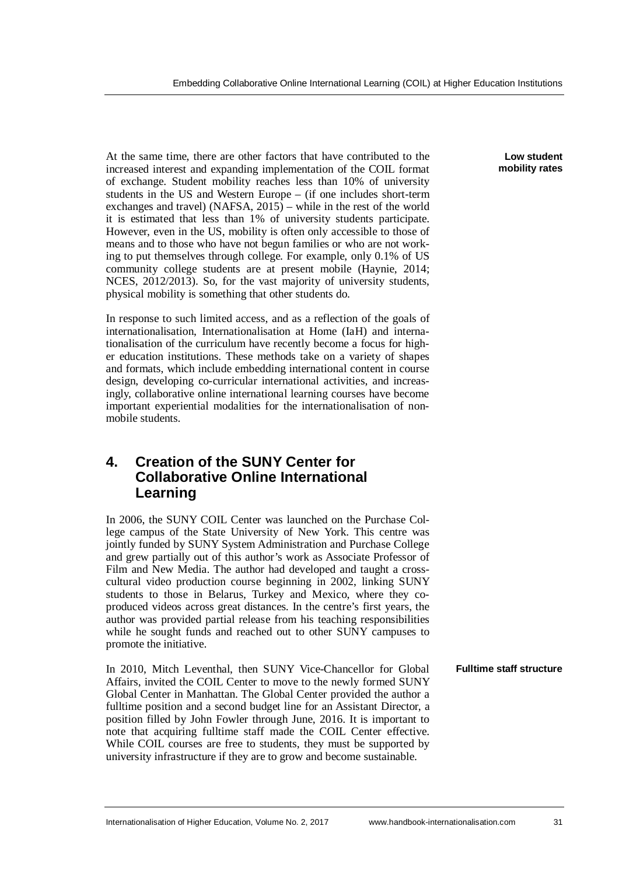At the same time, there are other factors that have contributed to the increased interest and expanding implementation of the COIL format of exchange. Student mobility reaches less than 10% of university students in the US and Western Europe – (if one includes short-term exchanges and travel) (NAFSA,  $2015$ ) – while in the rest of the world it is estimated that less than 1% of university students participate. However, even in the US, mobility is often only accessible to those of means and to those who have not begun families or who are not working to put themselves through college. For example, only 0.1% of US community college students are at present mobile (Haynie, 2014; NCES, 2012/2013). So, for the vast majority of university students, physical mobility is something that other students do.

In response to such limited access, and as a reflection of the goals of internationalisation, Internationalisation at Home (IaH) and internationalisation of the curriculum have recently become a focus for higher education institutions. These methods take on a variety of shapes and formats, which include embedding international content in course design, developing co-curricular international activities, and increasingly, collaborative online international learning courses have become important experiential modalities for the internationalisation of nonmobile students.

## <span id="page-4-0"></span>**4. Creation of the SUNY Center for Collaborative Online International Learning**

In 2006, the SUNY COIL Center was launched on the Purchase College campus of the State University of New York. This centre was jointly funded by SUNY System Administration and Purchase College and grew partially out of this author's work as Associate Professor of Film and New Media. The author had developed and taught a crosscultural video production course beginning in 2002, linking SUNY students to those in Belarus, Turkey and Mexico, where they coproduced videos across great distances. In the centre's first years, the author was provided partial release from his teaching responsibilities while he sought funds and reached out to other SUNY campuses to promote the initiative.

In 2010, Mitch Leventhal, then SUNY Vice-Chancellor for Global Affairs, invited the COIL Center to move to the newly formed SUNY Global Center in Manhattan. The Global Center provided the author a fulltime position and a second budget line for an Assistant Director, a position filled by John Fowler through June, 2016. It is important to note that acquiring fulltime staff made the COIL Center effective. While COIL courses are free to students, they must be supported by university infrastructure if they are to grow and become sustainable.

**Low student mobility rates**

**Fulltime staff structure**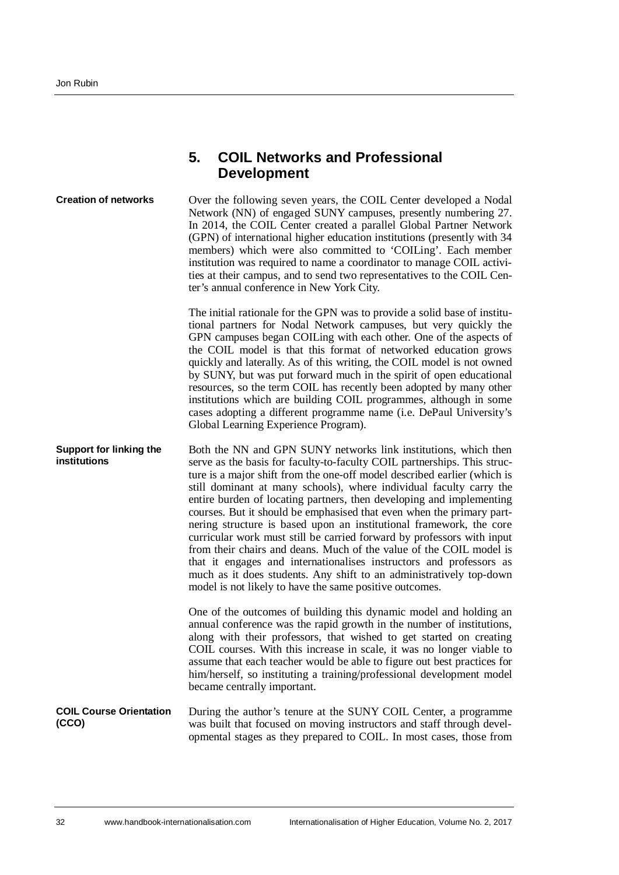#### **Development** Over the following seven years, the COIL Center developed a Nodal Network (NN) of engaged SUNY campuses, presently numbering 27. In 2014, the COIL Center created a parallel Global Partner Network (GPN) of international higher education institutions (presently with 34 members) which were also committed to 'COILing'. Each member institution was required to name a coordinator to manage COIL activities at their campus, and to send two representatives to the COIL Center's annual conference in New York City. The initial rationale for the GPN was to provide a solid base of institutional partners for Nodal Network campuses, but very quickly the GPN campuses began COILing with each other. One of the aspects of the COIL model is that this format of networked education grows quickly and laterally. As of this writing, the COIL model is not owned by SUNY, but was put forward much in the spirit of open educational resources, so the term COIL has recently been adopted by many other institutions which are building COIL programmes, although in some cases adopting a different programme name (i.e. DePaul University's Global Learning Experience Program). Both the NN and GPN SUNY networks link institutions, which then serve as the basis for faculty-to-faculty COIL partnerships. This structure is a major shift from the one-off model described earlier (which is still dominant at many schools), where individual faculty carry the entire burden of locating partners, then developing and implementing courses. But it should be emphasised that even when the primary partnering structure is based upon an institutional framework, the core curricular work must still be carried forward by professors with input from their chairs and deans. Much of the value of the COIL model is that it engages and internationalises instructors and professors as much as it does students. Any shift to an administratively top-down model is not likely to have the same positive outcomes. One of the outcomes of building this dynamic model and holding an annual conference was the rapid growth in the number of institutions, along with their professors, that wished to get started on creating COIL courses. With this increase in scale, it was no longer viable to assume that each teacher would be able to figure out best practices for him/herself, so instituting a training/professional development model became centrally important. During the author's tenure at the SUNY COIL Center, a programme was built that focused on moving instructors and staff through developmental stages as they prepared to COIL. In most cases, those from **Creation of networks Support for linking the institutions COIL Course Orientation (CCO)**

<span id="page-5-0"></span>**5. COIL Networks and Professional**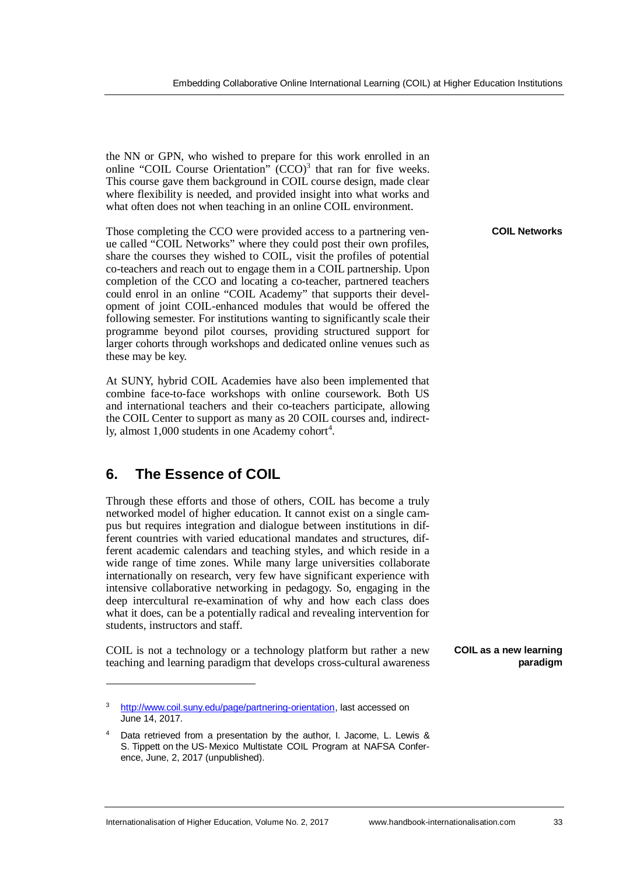the NN or GPN, who wished to prepare for this work enrolled in an online "COIL Course Orientation" (CCO)<sup>[3](#page-6-1)</sup> that ran for five weeks. This course gave them background in COIL course design, made clear where flexibility is needed, and provided insight into what works and what often does not when teaching in an online COIL environment.

Those completing the CCO were provided access to a partnering venue called "COIL Networks" where they could post their own profiles, share the courses they wished to COIL, visit the profiles of potential co-teachers and reach out to engage them in a COIL partnership. Upon completion of the CCO and locating a co-teacher, partnered teachers could enrol in an online "COIL Academy" that supports their development of joint COIL-enhanced modules that would be offered the following semester. For institutions wanting to significantly scale their programme beyond pilot courses, providing structured support for larger cohorts through workshops and dedicated online venues such as these may be key.

At SUNY, hybrid COIL Academies have also been implemented that combine face-to-face workshops with online coursework. Both US and international teachers and their co-teachers participate, allowing the COIL Center to support as many as 20 COIL courses and, indirectly, almost  $1,000$  students in one Academy cohort<sup>[4](#page-6-2)</sup>.

## <span id="page-6-0"></span>**6. The Essence of COIL**

Through these efforts and those of others, COIL has become a truly networked model of higher education. It cannot exist on a single campus but requires integration and dialogue between institutions in different countries with varied educational mandates and structures, different academic calendars and teaching styles, and which reside in a wide range of time zones. While many large universities collaborate internationally on research, very few have significant experience with intensive collaborative networking in pedagogy. So, engaging in the deep intercultural re-examination of why and how each class does what it does, can be a potentially radical and revealing intervention for students, instructors and staff.

COIL is not a technology or a technology platform but rather a new teaching and learning paradigm that develops cross-cultural awareness **COIL Networks**

**COIL as a new learning paradigm**

<span id="page-6-1"></span>http://www.coil.suny.edu/page/partnering-orientation, last accessed on June 14, 2017.

<span id="page-6-2"></span><sup>4</sup> Data retrieved from a presentation by the author, I. Jacome, L. Lewis & S. Tippett on the US- Mexico Multistate COIL Program at NAFSA Confer ence, June, 2, 2017 (unpublished).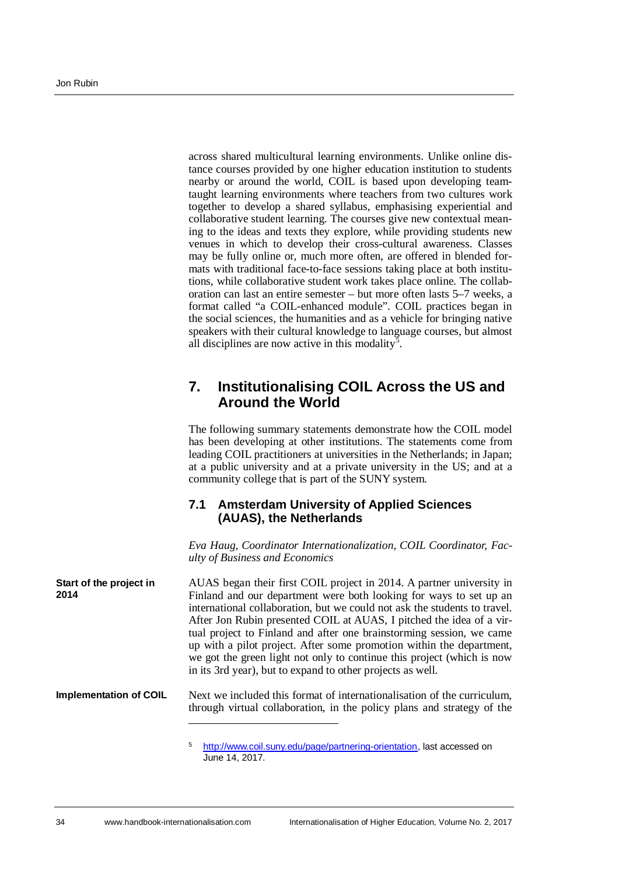across shared multicultural learning environments. Unlike online distance courses provided by one higher education institution to students nearby or around the world, COIL is based upon developing teamtaught learning environments where teachers from two cultures work together to develop a shared syllabus, emphasising experiential and collaborative student learning. The courses give new contextual meaning to the ideas and texts they explore, while providing students new venues in which to develop their cross-cultural awareness. Classes may be fully online or, much more often, are offered in blended formats with traditional face-to-face sessions taking place at both institutions, while collaborative student work takes place online. The collaboration can last an entire semester – but more often lasts 5–7 weeks, a format called "a COIL-enhanced module". COIL practices began in the social sciences, the humanities and as a vehicle for bringing native speakers with their cultural knowledge to language courses, but almost all disciplines are now active in this modality<sup>[5](#page-7-1)</sup>.

### <span id="page-7-0"></span>**7. Institutionalising COIL Across the US and Around the World**

The following summary statements demonstrate how the COIL model has been developing at other institutions. The statements come from leading COIL practitioners at universities in the Netherlands; in Japan; at a public university and at a private university in the US; and at a community college that is part of the SUNY system.

### **7.1 Amsterdam University of Applied Sciences (AUAS), the Netherlands**

*Eva Haug, Coordinator Internationalization, COIL Coordinator, Faculty of Business and Economics*

AUAS began their first COIL project in 2014. A partner university in Finland and our department were both looking for ways to set up an international collaboration, but we could not ask the students to travel. After Jon Rubin presented COIL at AUAS, I pitched the idea of a virtual project to Finland and after one brainstorming session, we came up with a pilot project. After some promotion within the department, we got the green light not only to continue this project (which is now in its 3rd year), but to expand to other projects as well. **Start of the project in 2014**

#### Next we included this format of internationalisation of the curriculum, through virtual collaboration, in the policy plans and strategy of the **Implementation of COIL**

<span id="page-7-1"></span><sup>5</sup> http://www.coil.suny.edu/page/partnering-orientation, last accessed on June 14, 2017.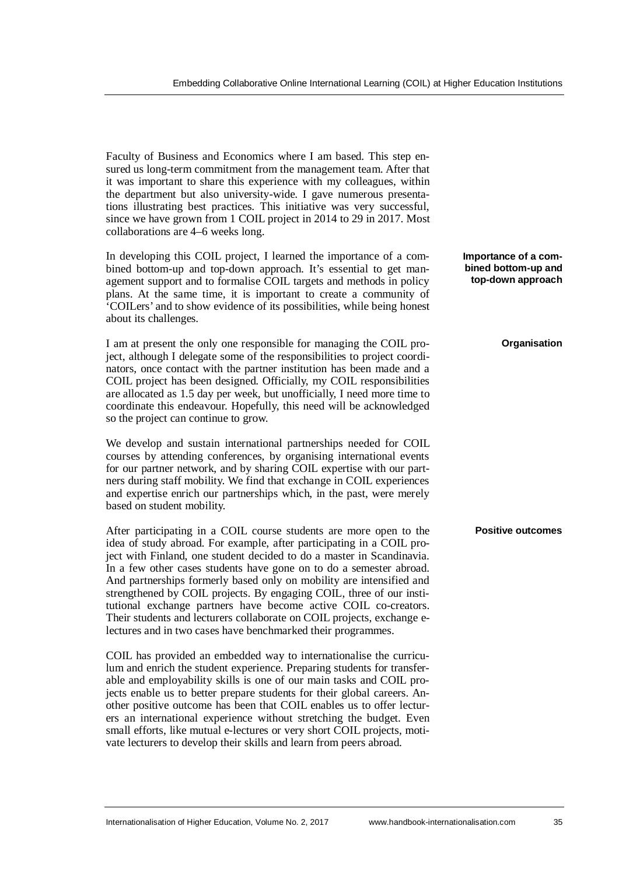Faculty of Business and Economics where I am based. This step ensured us long-term commitment from the management team. After that it was important to share this experience with my colleagues, within the department but also university-wide. I gave numerous presentations illustrating best practices. This initiative was very successful, since we have grown from 1 COIL project in 2014 to 29 in 2017. Most collaborations are 4–6 weeks long.

In developing this COIL project, I learned the importance of a combined bottom-up and top-down approach. It's essential to get management support and to formalise COIL targets and methods in policy plans. At the same time, it is important to create a community of 'COILers' and to show evidence of its possibilities, while being honest about its challenges.

I am at present the only one responsible for managing the COIL project, although I delegate some of the responsibilities to project coordinators, once contact with the partner institution has been made and a COIL project has been designed. Officially, my COIL responsibilities are allocated as 1.5 day per week, but unofficially, I need more time to coordinate this endeavour. Hopefully, this need will be acknowledged so the project can continue to grow.

We develop and sustain international partnerships needed for COIL courses by attending conferences, by organising international events for our partner network, and by sharing COIL expertise with our partners during staff mobility. We find that exchange in COIL experiences and expertise enrich our partnerships which, in the past, were merely based on student mobility.

After participating in a COIL course students are more open to the idea of study abroad. For example, after participating in a COIL project with Finland, one student decided to do a master in Scandinavia. In a few other cases students have gone on to do a semester abroad. And partnerships formerly based only on mobility are intensified and strengthened by COIL projects. By engaging COIL, three of our institutional exchange partners have become active COIL co-creators. Their students and lecturers collaborate on COIL projects, exchange electures and in two cases have benchmarked their programmes.

COIL has provided an embedded way to internationalise the curriculum and enrich the student experience. Preparing students for transferable and employability skills is one of our main tasks and COIL projects enable us to better prepare students for their global careers. Another positive outcome has been that COIL enables us to offer lecturers an international experience without stretching the budget. Even small efforts, like mutual e-lectures or very short COIL projects, motivate lecturers to develop their skills and learn from peers abroad.

**Importance of a combined bottom-up and top-down approach**

**Organisation**

#### **Positive outcomes**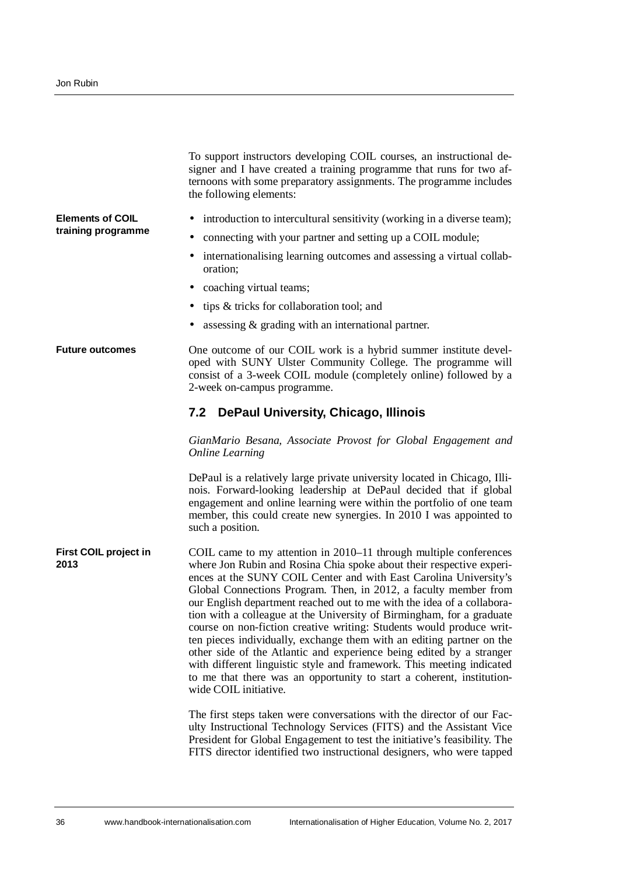|                               | To support instructors developing COIL courses, an instructional de-<br>signer and I have created a training programme that runs for two af-<br>ternoons with some preparatory assignments. The programme includes<br>the following elements:                                                                                                                                                                                                                                                                                                                                                                                                                                                                                                                                                                                             |
|-------------------------------|-------------------------------------------------------------------------------------------------------------------------------------------------------------------------------------------------------------------------------------------------------------------------------------------------------------------------------------------------------------------------------------------------------------------------------------------------------------------------------------------------------------------------------------------------------------------------------------------------------------------------------------------------------------------------------------------------------------------------------------------------------------------------------------------------------------------------------------------|
| <b>Elements of COIL</b>       | introduction to intercultural sensitivity (working in a diverse team);                                                                                                                                                                                                                                                                                                                                                                                                                                                                                                                                                                                                                                                                                                                                                                    |
| training programme            | connecting with your partner and setting up a COIL module;                                                                                                                                                                                                                                                                                                                                                                                                                                                                                                                                                                                                                                                                                                                                                                                |
|                               | internationalising learning outcomes and assessing a virtual collab-<br>oration;                                                                                                                                                                                                                                                                                                                                                                                                                                                                                                                                                                                                                                                                                                                                                          |
|                               | coaching virtual teams;                                                                                                                                                                                                                                                                                                                                                                                                                                                                                                                                                                                                                                                                                                                                                                                                                   |
|                               | tips & tricks for collaboration tool; and                                                                                                                                                                                                                                                                                                                                                                                                                                                                                                                                                                                                                                                                                                                                                                                                 |
|                               | assessing $&$ grading with an international partner.                                                                                                                                                                                                                                                                                                                                                                                                                                                                                                                                                                                                                                                                                                                                                                                      |
| <b>Future outcomes</b>        | One outcome of our COIL work is a hybrid summer institute devel-<br>oped with SUNY Ulster Community College. The programme will<br>consist of a 3-week COIL module (completely online) followed by a<br>2-week on-campus programme.                                                                                                                                                                                                                                                                                                                                                                                                                                                                                                                                                                                                       |
|                               | 7.2 DePaul University, Chicago, Illinois                                                                                                                                                                                                                                                                                                                                                                                                                                                                                                                                                                                                                                                                                                                                                                                                  |
|                               | GianMario Besana, Associate Provost for Global Engagement and<br><b>Online Learning</b>                                                                                                                                                                                                                                                                                                                                                                                                                                                                                                                                                                                                                                                                                                                                                   |
|                               | DePaul is a relatively large private university located in Chicago, Illi-<br>nois. Forward-looking leadership at DePaul decided that if global<br>engagement and online learning were within the portfolio of one team<br>member, this could create new synergies. In 2010 I was appointed to<br>such a position.                                                                                                                                                                                                                                                                                                                                                                                                                                                                                                                         |
| First COIL project in<br>2013 | COIL came to my attention in 2010–11 through multiple conferences<br>where Jon Rubin and Rosina Chia spoke about their respective experi-<br>ences at the SUNY COIL Center and with East Carolina University's<br>Global Connections Program. Then, in 2012, a faculty member from<br>our English department reached out to me with the idea of a collabora-<br>tion with a colleague at the University of Birmingham, for a graduate<br>course on non-fiction creative writing: Students would produce writ-<br>ten pieces individually, exchange them with an editing partner on the<br>other side of the Atlantic and experience being edited by a stranger<br>with different linguistic style and framework. This meeting indicated<br>to me that there was an opportunity to start a coherent, institution-<br>wide COIL initiative. |
|                               | The first steps taken were conversations with the director of our Fac-<br>ulty Instructional Technology Services (FITS) and the Assistant Vice<br>President for Global Engagement to test the initiative's feasibility. The<br>FITS director identified two instructional designers, who were tapped                                                                                                                                                                                                                                                                                                                                                                                                                                                                                                                                      |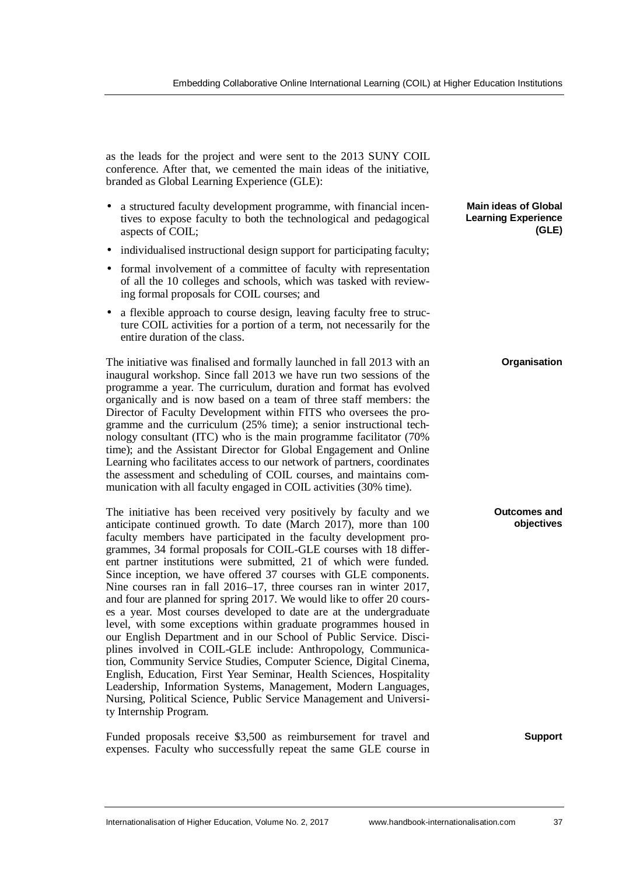as the leads for the project and were sent to the 2013 SUNY COIL conference. After that, we cemented the main ideas of the initiative, branded as Global Learning Experience (GLE):

- a structured faculty development programme, with financial incentives to expose faculty to both the technological and pedagogical aspects of COIL;
- individualised instructional design support for participating faculty;
- formal involvement of a committee of faculty with representation of all the 10 colleges and schools, which was tasked with reviewing formal proposals for COIL courses; and
- a flexible approach to course design, leaving faculty free to structure COIL activities for a portion of a term, not necessarily for the entire duration of the class.

The initiative was finalised and formally launched in fall 2013 with an inaugural workshop. Since fall 2013 we have run two sessions of the programme a year. The curriculum, duration and format has evolved organically and is now based on a team of three staff members: the Director of Faculty Development within FITS who oversees the programme and the curriculum (25% time); a senior instructional technology consultant (ITC) who is the main programme facilitator (70% time); and the Assistant Director for Global Engagement and Online Learning who facilitates access to our network of partners, coordinates the assessment and scheduling of COIL courses, and maintains communication with all faculty engaged in COIL activities (30% time).

The initiative has been received very positively by faculty and we anticipate continued growth. To date (March 2017), more than 100 faculty members have participated in the faculty development programmes, 34 formal proposals for COIL-GLE courses with 18 different partner institutions were submitted, 21 of which were funded. Since inception, we have offered 37 courses with GLE components. Nine courses ran in fall 2016–17, three courses ran in winter 2017, and four are planned for spring 2017. We would like to offer 20 courses a year. Most courses developed to date are at the undergraduate level, with some exceptions within graduate programmes housed in our English Department and in our School of Public Service. Disciplines involved in COIL-GLE include: Anthropology, Communication, Community Service Studies, Computer Science, Digital Cinema, English, Education, First Year Seminar, Health Sciences, Hospitality Leadership, Information Systems, Management, Modern Languages, Nursing, Political Science, Public Service Management and University Internship Program.

Funded proposals receive \$3,500 as reimbursement for travel and expenses. Faculty who successfully repeat the same GLE course in

#### **Main ideas of Global Learning Experience (GLE)**

#### **Organisation**

#### **Outcomes and objectives**

#### **Support**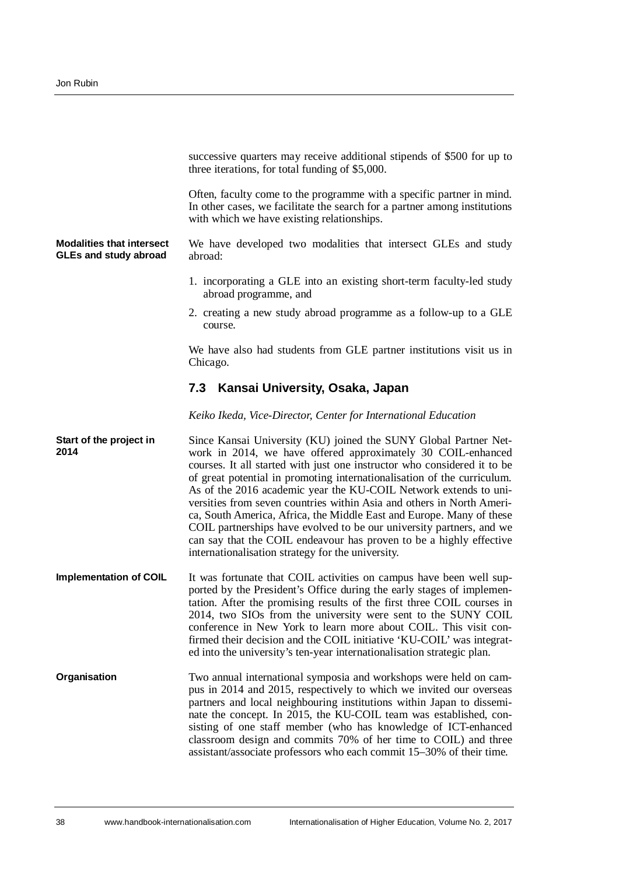|                                                                  | successive quarters may receive additional stipends of \$500 for up to<br>three iterations, for total funding of \$5,000.                                                                                                                                                                                                                                                                                                                                                                                                                                                                                                                                                                                        |
|------------------------------------------------------------------|------------------------------------------------------------------------------------------------------------------------------------------------------------------------------------------------------------------------------------------------------------------------------------------------------------------------------------------------------------------------------------------------------------------------------------------------------------------------------------------------------------------------------------------------------------------------------------------------------------------------------------------------------------------------------------------------------------------|
|                                                                  | Often, faculty come to the programme with a specific partner in mind.<br>In other cases, we facilitate the search for a partner among institutions<br>with which we have existing relationships.                                                                                                                                                                                                                                                                                                                                                                                                                                                                                                                 |
| <b>Modalities that intersect</b><br><b>GLEs and study abroad</b> | We have developed two modalities that intersect GLEs and study<br>abroad:                                                                                                                                                                                                                                                                                                                                                                                                                                                                                                                                                                                                                                        |
|                                                                  | 1. incorporating a GLE into an existing short-term faculty-led study<br>abroad programme, and                                                                                                                                                                                                                                                                                                                                                                                                                                                                                                                                                                                                                    |
|                                                                  | 2. creating a new study abroad programme as a follow-up to a GLE<br>course.                                                                                                                                                                                                                                                                                                                                                                                                                                                                                                                                                                                                                                      |
|                                                                  | We have also had students from GLE partner institutions visit us in<br>Chicago.                                                                                                                                                                                                                                                                                                                                                                                                                                                                                                                                                                                                                                  |
|                                                                  | 7.3 Kansai University, Osaka, Japan                                                                                                                                                                                                                                                                                                                                                                                                                                                                                                                                                                                                                                                                              |
|                                                                  | Keiko Ikeda, Vice-Director, Center for International Education                                                                                                                                                                                                                                                                                                                                                                                                                                                                                                                                                                                                                                                   |
| Start of the project in<br>2014                                  | Since Kansai University (KU) joined the SUNY Global Partner Net-<br>work in 2014, we have offered approximately 30 COIL-enhanced<br>courses. It all started with just one instructor who considered it to be<br>of great potential in promoting internationalisation of the curriculum.<br>As of the 2016 academic year the KU-COIL Network extends to uni-<br>versities from seven countries within Asia and others in North Ameri-<br>ca, South America, Africa, the Middle East and Europe. Many of these<br>COIL partnerships have evolved to be our university partners, and we<br>can say that the COIL endeavour has proven to be a highly effective<br>internationalisation strategy for the university. |
| <b>Implementation of COIL</b>                                    | It was fortunate that COIL activities on campus have been well sup-<br>ported by the President's Office during the early stages of implemen-<br>tation. After the promising results of the first three COIL courses in<br>2014, two SIOs from the university were sent to the SUNY COIL<br>conference in New York to learn more about COIL. This visit con-<br>firmed their decision and the COIL initiative 'KU-COIL' was integrat-<br>ed into the university's ten-year internationalisation strategic plan.                                                                                                                                                                                                   |
| <b>Organisation</b>                                              | Two annual international symposia and workshops were held on cam-<br>pus in 2014 and 2015, respectively to which we invited our overseas<br>partners and local neighbouring institutions within Japan to dissemi-<br>nate the concept. In 2015, the KU-COIL team was established, con-<br>sisting of one staff member (who has knowledge of ICT-enhanced<br>classroom design and commits 70% of her time to COIL) and three<br>assistant/associate professors who each commit 15–30% of their time.                                                                                                                                                                                                              |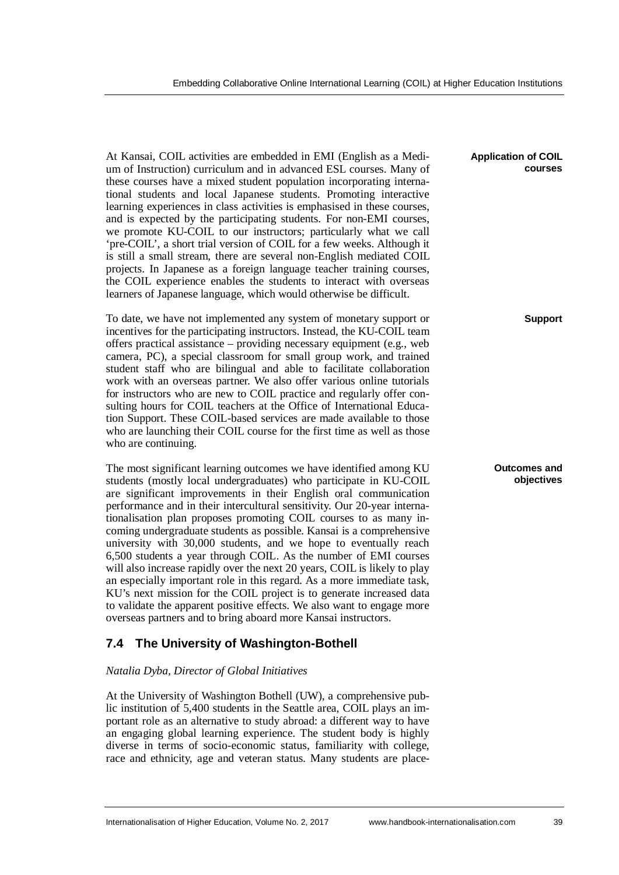At Kansai, COIL activities are embedded in EMI (English as a Medium of Instruction) curriculum and in advanced ESL courses. Many of these courses have a mixed student population incorporating international students and local Japanese students. Promoting interactive learning experiences in class activities is emphasised in these courses, and is expected by the participating students. For non-EMI courses, we promote KU-COIL to our instructors; particularly what we call 'pre-COIL', a short trial version of COIL for a few weeks. Although it is still a small stream, there are several non-English mediated COIL projects. In Japanese as a foreign language teacher training courses, the COIL experience enables the students to interact with overseas learners of Japanese language, which would otherwise be difficult.

To date, we have not implemented any system of monetary support or incentives for the participating instructors. Instead, the KU-COIL team offers practical assistance – providing necessary equipment (e.g., web camera, PC), a special classroom for small group work, and trained student staff who are bilingual and able to facilitate collaboration work with an overseas partner. We also offer various online tutorials for instructors who are new to COIL practice and regularly offer consulting hours for COIL teachers at the Office of International Education Support. These COIL-based services are made available to those who are launching their COIL course for the first time as well as those who are continuing.

The most significant learning outcomes we have identified among KU students (mostly local undergraduates) who participate in KU-COIL are significant improvements in their English oral communication performance and in their intercultural sensitivity. Our 20-year internationalisation plan proposes promoting COIL courses to as many incoming undergraduate students as possible. Kansai is a comprehensive university with 30,000 students, and we hope to eventually reach 6,500 students a year through COIL. As the number of EMI courses will also increase rapidly over the next 20 years, COIL is likely to play an especially important role in this regard. As a more immediate task, KU's next mission for the COIL project is to generate increased data to validate the apparent positive effects. We also want to engage more overseas partners and to bring aboard more Kansai instructors.

### **7.4 The University of Washington-Bothell**

#### *Natalia Dyba, Director of Global Initiatives*

At the University of Washington Bothell (UW), a comprehensive public institution of 5,400 students in the Seattle area, COIL plays an important role as an alternative to study abroad: a different way to have an engaging global learning experience. The student body is highly diverse in terms of socio-economic status, familiarity with college, race and ethnicity, age and veteran status. Many students are place-

#### **Application of COIL courses**

**Support**

**Outcomes and objectives**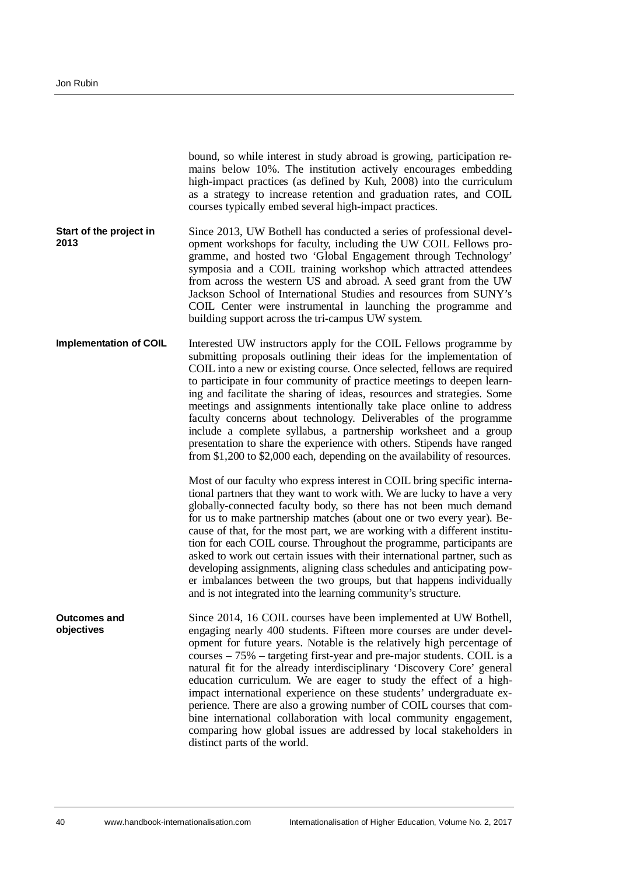| bound, so while interest in study abroad is growing, participation re-<br>mains below 10%. The institution actively encourages embedding<br>high-impact practices (as defined by Kuh, 2008) into the curriculum<br>as a strategy to increase retention and graduation rates, and COIL<br>courses typically embed several high-impact practices.                                                                                                                                                                                                                                                                                                                                                                                                                     |
|---------------------------------------------------------------------------------------------------------------------------------------------------------------------------------------------------------------------------------------------------------------------------------------------------------------------------------------------------------------------------------------------------------------------------------------------------------------------------------------------------------------------------------------------------------------------------------------------------------------------------------------------------------------------------------------------------------------------------------------------------------------------|
| Since 2013, UW Bothell has conducted a series of professional devel-<br>opment workshops for faculty, including the UW COIL Fellows pro-<br>gramme, and hosted two 'Global Engagement through Technology'<br>symposia and a COIL training workshop which attracted attendees<br>from across the western US and abroad. A seed grant from the UW<br>Jackson School of International Studies and resources from SUNY's<br>COIL Center were instrumental in launching the programme and<br>building support across the tri-campus UW system.                                                                                                                                                                                                                           |
| Interested UW instructors apply for the COIL Fellows programme by<br>submitting proposals outlining their ideas for the implementation of<br>COIL into a new or existing course. Once selected, fellows are required<br>to participate in four community of practice meetings to deepen learn-<br>ing and facilitate the sharing of ideas, resources and strategies. Some<br>meetings and assignments intentionally take place online to address<br>faculty concerns about technology. Deliverables of the programme<br>include a complete syllabus, a partnership worksheet and a group<br>presentation to share the experience with others. Stipends have ranged<br>from \$1,200 to \$2,000 each, depending on the availability of resources.                     |
| Most of our faculty who express interest in COIL bring specific interna-<br>tional partners that they want to work with. We are lucky to have a very<br>globally-connected faculty body, so there has not been much demand<br>for us to make partnership matches (about one or two every year). Be-<br>cause of that, for the most part, we are working with a different institu-<br>tion for each COIL course. Throughout the programme, participants are<br>asked to work out certain issues with their international partner, such as<br>developing assignments, aligning class schedules and anticipating pow-<br>er imbalances between the two groups, but that happens individually<br>and is not integrated into the learning community's structure.         |
| Since 2014, 16 COIL courses have been implemented at UW Bothell,<br>engaging nearly 400 students. Fifteen more courses are under devel-<br>opment for future years. Notable is the relatively high percentage of<br>courses – 75% – targeting first-year and pre-major students. COIL is a<br>natural fit for the already interdisciplinary 'Discovery Core' general<br>education curriculum. We are eager to study the effect of a high-<br>impact international experience on these students' undergraduate ex-<br>perience. There are also a growing number of COIL courses that com-<br>bine international collaboration with local community engagement,<br>comparing how global issues are addressed by local stakeholders in<br>distinct parts of the world. |
|                                                                                                                                                                                                                                                                                                                                                                                                                                                                                                                                                                                                                                                                                                                                                                     |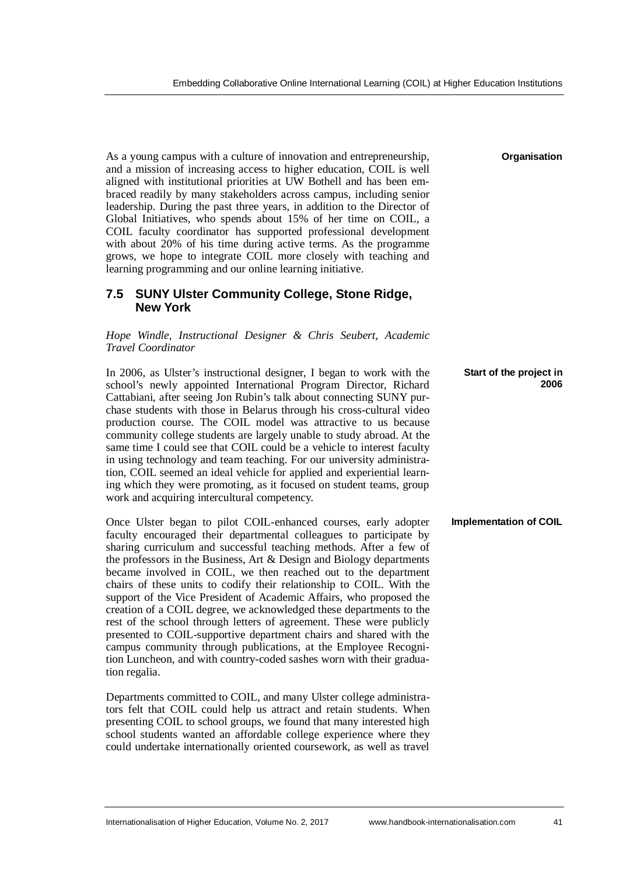As a young campus with a culture of innovation and entrepreneurship, and a mission of increasing access to higher education, COIL is well aligned with institutional priorities at UW Bothell and has been embraced readily by many stakeholders across campus, including senior leadership. During the past three years, in addition to the Director of Global Initiatives, who spends about 15% of her time on COIL, a COIL faculty coordinator has supported professional development with about 20% of his time during active terms. As the programme grows, we hope to integrate COIL more closely with teaching and learning programming and our online learning initiative.

### **7.5 SUNY Ulster Community College, Stone Ridge, New York**

*Hope Windle, Instructional Designer & Chris Seubert, Academic Travel Coordinator*

In 2006, as Ulster's instructional designer, I began to work with the school's newly appointed International Program Director, Richard Cattabiani, after seeing Jon Rubin's talk about connecting SUNY purchase students with those in Belarus through his cross-cultural video production course. The COIL model was attractive to us because community college students are largely unable to study abroad. At the same time I could see that COIL could be a vehicle to interest faculty in using technology and team teaching. For our university administration, COIL seemed an ideal vehicle for applied and experiential learning which they were promoting, as it focused on student teams, group work and acquiring intercultural competency. **Start of the project in 2006**

Once Ulster began to pilot COIL-enhanced courses, early adopter faculty encouraged their departmental colleagues to participate by sharing curriculum and successful teaching methods. After a few of the professors in the Business, Art & Design and Biology departments became involved in COIL, we then reached out to the department chairs of these units to codify their relationship to COIL. With the support of the Vice President of Academic Affairs, who proposed the creation of a COIL degree, we acknowledged these departments to the rest of the school through letters of agreement. These were publicly presented to COIL-supportive department chairs and shared with the campus community through publications, at the Employee Recognition Luncheon, and with country-coded sashes worn with their graduation regalia.

Departments committed to COIL, and many Ulster college administrators felt that COIL could help us attract and retain students. When presenting COIL to school groups, we found that many interested high school students wanted an affordable college experience where they could undertake internationally oriented coursework, as well as travel

**Organisation**

**Implementation of COIL**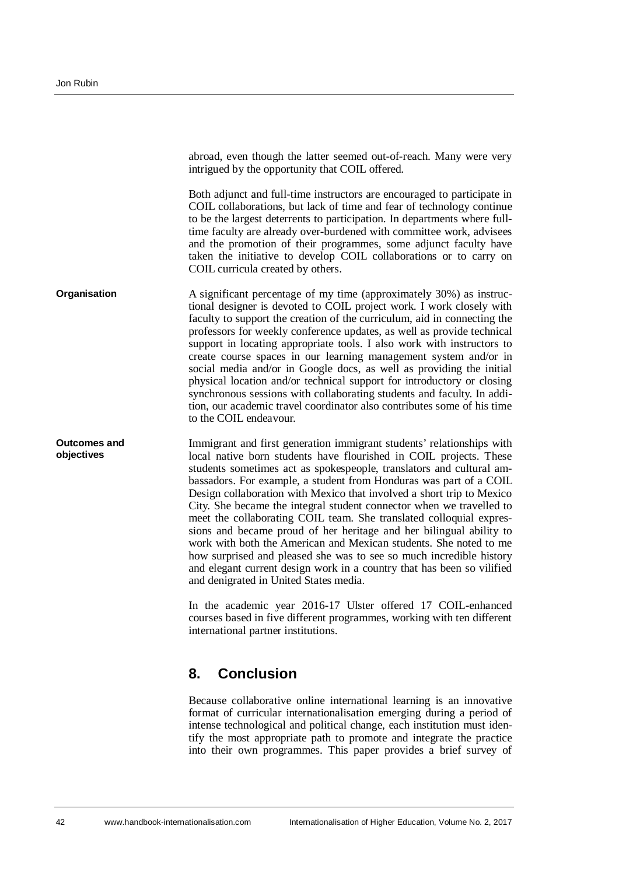abroad, even though the latter seemed out-of-reach. Many were very intrigued by the opportunity that COIL offered. Both adjunct and full-time instructors are encouraged to participate in COIL collaborations, but lack of time and fear of technology continue to be the largest deterrents to participation. In departments where fulltime faculty are already over-burdened with committee work, advisees and the promotion of their programmes, some adjunct faculty have taken the initiative to develop COIL collaborations or to carry on COIL curricula created by others. A significant percentage of my time (approximately 30%) as instructional designer is devoted to COIL project work. I work closely with faculty to support the creation of the curriculum, aid in connecting the professors for weekly conference updates, as well as provide technical support in locating appropriate tools. I also work with instructors to create course spaces in our learning management system and/or in social media and/or in Google docs, as well as providing the initial **Organisation**

**Outcomes and objectives**

Immigrant and first generation immigrant students' relationships with local native born students have flourished in COIL projects. These students sometimes act as spokespeople, translators and cultural ambassadors. For example, a student from Honduras was part of a COIL Design collaboration with Mexico that involved a short trip to Mexico City. She became the integral student connector when we travelled to meet the collaborating COIL team. She translated colloquial expressions and became proud of her heritage and her bilingual ability to work with both the American and Mexican students. She noted to me how surprised and pleased she was to see so much incredible history and elegant current design work in a country that has been so vilified and denigrated in United States media.

physical location and/or technical support for introductory or closing synchronous sessions with collaborating students and faculty. In addition, our academic travel coordinator also contributes some of his time

In the academic year 2016-17 Ulster offered 17 COIL-enhanced courses based in five different programmes, working with ten different international partner institutions.

## <span id="page-15-0"></span>**8. Conclusion**

to the COIL endeavour.

Because collaborative online international learning is an innovative format of curricular internationalisation emerging during a period of intense technological and political change, each institution must identify the most appropriate path to promote and integrate the practice into their own programmes. This paper provides a brief survey of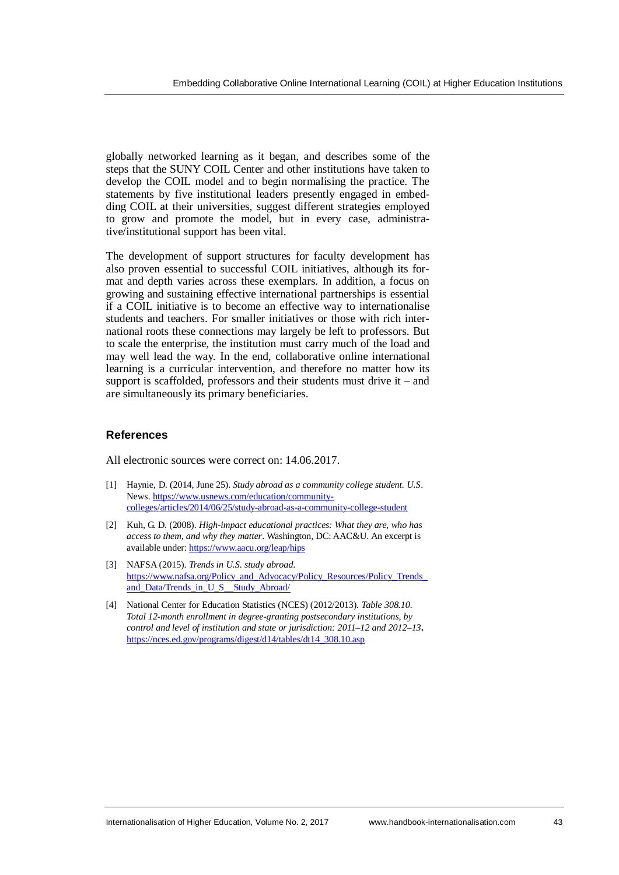globally networked learning as it began, and describes some of the steps that the SUNY COIL Center and other institutions have taken to develop the COIL model and to begin normalising the practice. The statements by five institutional leaders presently engaged in embedding COIL at their universities, suggest different strategies employed to grow and promote the model, but in every case, administrative/institutional support has been vital.

The development of support structures for faculty development has also proven essential to successful COIL initiatives, although its format and depth varies across these exemplars. In addition, a focus on growing and sustaining effective international partnerships is essential if a COIL initiative is to become an effective way to internationalise students and teachers. For smaller initiatives or those with rich international roots these connections may largely be left to professors. But to scale the enterprise, the institution must carry much of the load and may well lead the way. In the end, collaborative online international learning is a curricular intervention, and therefore no matter how its support is scaffolded, professors and their students must drive it – and are simultaneously its primary beneficiaries.

#### **References**

All electronic sources were correct on: 14.06.2017.

- [1] Haynie, D. (2014, June 25). *Study abroad as a community college student. U.S*. News. [https://www.usnews.com/education/community](https://www.usnews.com/education/community-colleges/articles/2014/06/25/study-abroad-as-a-community-college-student)[colleges/articles/2014/06/25/study-abroad-as-a-community-college-student](https://www.usnews.com/education/community-colleges/articles/2014/06/25/study-abroad-as-a-community-college-student)
- [2] Kuh, G. D. (2008). *High-impact educational practices: What they are, who has access to them, and why they matter*. Washington, DC: AAC&U. An excerpt is available under: <https://www.aacu.org/leap/hips>
- [3] NAFSA (2015). *Trends in U.S. study abroad*. [https://www.nafsa.org/Policy\\_and\\_Advocacy/Policy\\_Resources/Policy\\_Trends\\_](https://www.nafsa.org/Policy_and_Advocacy/Policy_Resources/Policy_Trends_and_Data/Trends_in_U_S__Study_Abroad/) and Data/Trends in U S Study Abroad/
- [4] National Center for Education Statistics (NCES) (2012/2013). *Table 308.10. Total 12-month enrollment in degree-granting postsecondary institutions, by control and level of institution and state or jurisdiction: 2011–12 and 2012–13***.** [https://nces.ed.gov/programs/digest/d14/tables/dt14\\_308.10.asp](https://nces.ed.gov/programs/digest/d14/tables/dt14_308.10.asp)